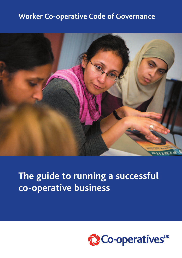## **Worker Co-operative Code of Governance**



## **The guide to running a successful co-operative business**

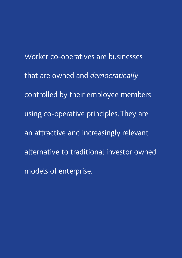Worker co-operatives are businesses that are owned and *democratically* controlled by their employee members using co-operative principles. They are an attractive and increasingly relevant alternative to traditional investor owned models of enterprise.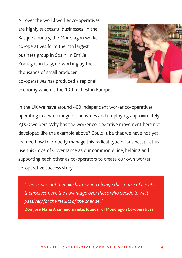All over the world worker co-operatives are highly successful businesses. In the Basque country, the Mondragon worker co-operatives form the 7th largest business group in Spain. In Emilia Romagna in Italy, networking by the thousands of small producer co-operatives has produced a regional



economy which is the 10th richest in Europe.

In the UK we have around 400 independent worker co-operatives operating in a wide range of industries and employing approximately 2,000 workers.Why has the worker co-operative movement here not developed like the example above? Could it be that we have not yet learned how to properly manage this radical type of business? Let us use this Code of Governance as our common guide, helping and supporting each other as co-operators to create our own worker co-operative success story.

*"Those who opt to make history and change the course of events themselves have the advantage over those who decide to wait passively for the results of the change."* **Don Jose Maria Arizmendiarrieta, founder of Mondragon Co-operatives**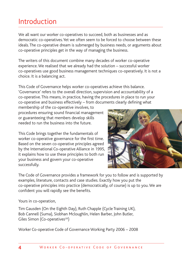## Introduction

We all want our worker co-operatives to succeed, both as businesses and as democratic co-operatives.Yet we often seem to be forced to choose between these ideals. The co-operative dream is submerged by business needs, or arguments about co-operative principles get in the way of managing the business.

The writers of this document combine many decades of worker co-operative experience.We realised that we already had the solution – successful worker co-operatives use good business management techniques co-operatively. It is not a choice. It is a balancing act.

This Code of Governance helps worker co-operatives achieve this balance. 'Governance' refers to the overall direction, supervision and accountability of a co-operative. This means, in practice, having the procedures in place to run your co-operative and business effectively – from documents clearly defining what

membership of the co-operative involves, to procedures ensuring sound financial management or guaranteeing that members develop skills needed to run the business into the future.

This Code brings together the fundamentals of worker co-operative governance for the first time. Based on the seven co-operative principles agreed by the International Co-operative Alliance in 1995, it explains how to use these principles to both run your business and govern your co-operative successfully.



The Code of Governance provides a framework for you to follow and is supported by examples, literature, contacts and case studies. Exactly how you put the co-operative principles into practice (democratically, of course) is up to you.We are confident you will rapidly see the benefits.

Yours in co-operation,

Tim Gausden (On the Eighth Day), Ruth Chapple (Cycle Training UK), Bob Cannell (Suma), Siobhan Mcloughlin, Helen Barber, John Butler, Giles Simon (Co-operatives<sup>UK</sup>)

Worker Co-operative Code of Governance Working Party 2006 – 2008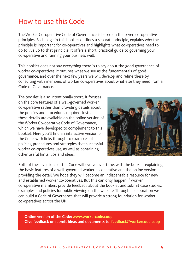## How to use this Code

The Worker Co-operative Code of Governance is based on the seven co-operative principles. Each page in this booklet outlines a separate principle, explains why the principle is important for co-operatives and highlights what co-operatives need to do to live up to that principle. It offers a short, practical guide to governing your co-operative and running your business well.

This booklet does not say everything there is to say about the good governance of worker co-operatives. It outlines what we see as the fundamentals of good governance, and over the next few years we will develop and refine these by consulting with members of worker co-operatives about what else they need from a Code of Governance.

The booklet is also intentionally short. It focuses on the core features of a well-governed worker co-operative rather than providing details about the policies and procedures required. Instead, these details are available on the online version of the Worker Co-operative Code of Governance, which we have developed to complement to this booklet. Here you'll find an interactive version of the Code, with links through to examples of policies, procedures and strategies that successful worker co-operatives use, as well as containing other useful hints, tips and ideas.



Both of these versions of the Code will evolve over time, with the booklet explaining the basic features of a well-governed worker co-operative and the online version providing the detail.We hope they will become an indispensable resource for new and established worker co-operatives. But this can only happen if worker co-operative members provide feedback about the booklet and submit case studies, examples and policies for public viewing on the website. Through collaboration we can build a Code of Governance that will provide a strong foundation for worker co-operatives across the UK.

**Online version of the Code: www.workercode.coop Give feedback or submit ideas and documents to: feedback@workercode.coop**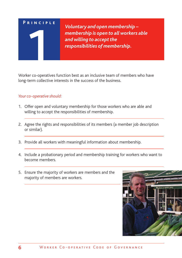*Voluntary and open membership – membership is open to all workers able* **and** willing to accept the *responsibilities of membership.*

Worker co-operatives function best as an inclusive team of members who have long-term collective interests in the success of the business.

- 1. Offer open and voluntary membership for those workers who are able and willing to accept the responsibilities of membership.
- 2. Agree the rights and responsibilities of its members (a member job description or similar).
- 3. Provide all workers with meaningful information about membership.
- 4. Include a probationary period and membership training for workers who want to become members.
- 5. Ensure the majority of workers are members and the majority of members are workers.

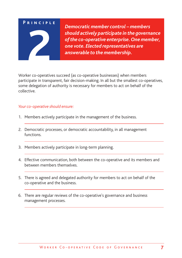*Democratic member control – members should actively participate in the governance ofthe co-operative enterprise.One member, one vote. Elected representatives are* **22** *and 2**actively participate in the of the co-operative enterprise.***<br>** *2**answerable to the membership.***<br>** *2**answerable to the membership.* 

Worker co-operatives succeed (as co-operative businesses) when members participate in transparent, fair decision-making. In all but the smallest co-operatives, some delegation of authority is necessary for members to act on behalf of the collective.

#### *Your co-operative should ensure:*

- 1. Members actively participate in the management of the business.
- 2. Democratic processes, or democratic accountability, in all management functions.
- 3. Members actively participate in long-term planning.
- 4. Effective communication, both between the co-operative and its members and between members themselves.
- 5. There is agreed and delegated authority for members to act on behalf of the co-operative and the business.
- 6. There are regular reviews of the co-operative's governance and business management processes.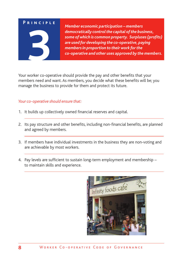*Member economic participation – members democratically controlthe capital ofthe business, some of which is common property. Surpluses(profits) are used for developing the co-operative, paying membersin proportion to their work forthe co-operative and other uses approved by the members.*

Your worker co-operative should provide the pay and other benefits that your members need and want. As members, you decide what these benefits will be; you manage the business to provide for them and protect its future.

#### *Your co-operative should ensure that:*

- 1. It builds up collectively owned financial reserves and capital.
- 2. Its pay structure and other benefits, including non-financial benefits, are planned and agreed by members.
- 3. If members have individual investments in the business they are non-voting and are achievable by most workers.
- 4. Pay levels are sufficient to sustain long-term employment and membership to maintain skills and experience.

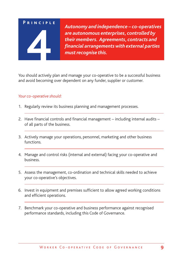*Autonomy and independence – co-operatives are autonomous enterprises, controlled by their members. Agreements, contracts and financial arrangements with external parties* Autonomy and independence are autonomous entrared their members. Agreement their members. Agreement of the state of the state of the state of the state of the state of the state of the state of the state of the state of th

You should actively plan and manage your co-operative to be a successful business and avoid becoming over dependent on any funder, supplier or customer.

- 1. Regularly review its business planning and management processes.
- 2. Have financial controls and financial management including internal audits of all parts of the business.
- 3. Actively manage your operations, personnel, marketing and other business functions.
- 4. Manage and control risks (internal and external) facing your co-operative and business.
- 5. Assess the management, co-ordination and technical skills needed to achieve your co-operative's objectives.
- 6. Invest in equipment and premises sufficient to allow agreed working conditions and efficient operations.
- 7. Benchmark your co-operative and business performance against recognised performance standards, including this Code of Governance.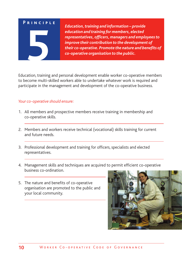**5**

*Education,training and information – provide education and training for members, elected representatives, officers, managers and employeesto improve their contribution to the development of their co-operative. Promote the nature and benefits of co-operative organisation to the public.*

Education, training and personal development enable worker co-operative members to become multi-skilled workers able to undertake whatever work is required and participate in the management and development of the co-operative business.

#### *Your co-operative should ensure:*

- 1. All members and prospective members receive training in membership and co-operative skills.
- 2. Members and workers receive technical (vocational) skills training for current and future needs.
- 3. Professional development and training for officers, specialists and elected representatives.
- 4. Management skills and techniques are acquired to permit efficient co-operative business co-ordination.
- 5. The nature and benefits of co-operative organisation are promoted to the public and your local community.

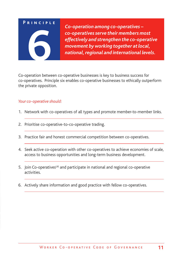*Co-operation among co-operatives – co-operativesserve their members most effectively and strengthen the co-operative movement by working together atlocal,* Co-operatives serve their members most<br>effectively and strengthen the co-operative<br>movement by working together at local,<br>national, regional and international levels.

Co-operation between co-operative businesses is key to business success for co-operatives. Principle six enables co-operative businesses to ethically outperform the private opposition.

- 1. Network with co-operatives of all types and promote member-to-member links.
- 2. Prioritise co-operative-to-co-operative trading.
- 3. Practice fair and honest commercial competition between co-operatives.
- 4. Seek active co-operation with other co-operatives to achieve economies of scale, access to business opportunities and long-term business development.
- 5. Join Co-operatives<sup>UK</sup> and participate in national and regional co-operative activities.
- 6. Actively share information and good practice with fellow co-operatives.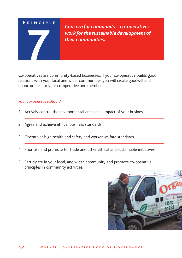*Concern for community – co-operatives work forthe sustainable development of their communities.*

Co-operatives are community-based businesses. If your co-operative builds good relations with your local and wider communities you will create goodwill and opportunities for your co-operative and members.

- 1. Actively control the environmental and social impact of your business.
- 2. Agree and achieve ethical business standards.
- 3. Operate at high health and safety and worker welfare standards.
- 4. Prioritise and promote Fairtrade and other ethical and sustainable initiatives.
- 5. Participate in your local, and wider, community and promote co-operative principles in community activities.

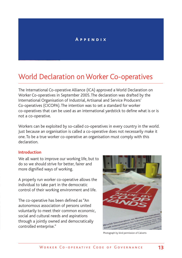#### **A p p e n d i x**

## World Declaration on Worker Co-operatives

The International Co-operative Alliance (ICA) approved a World Declaration on Worker Co-operatives in September 2005. The declaration was drafted by the International Organisation of Industrial, Artisanal and Service Producers' Co-operatives (CICOPA). The intention was to set a standard for worker co-operatives that can be used as an international yardstick to define what is or is not a co-operative.

Workers can be exploited by so-called co-operatives in every country in the world. Just because an organisation is called a co-operative does not necessarily make it one. To be a true worker co-operative an organisation must comply with this declaration.

#### **Introduction**

We all want to improve our working life, but to do so we should strive for better, fairer and more dignified ways of working.

A properly run worker co-operative allows the individual to take part in the democratic control of their working environment and life.

The co-operative has been defined as"An autonomous association of persons united voluntarily to meet their common economic, social and cultural needs and aspirations through a jointly owned and democratically controlled enterprise."



Photograph by kind permission of Calverts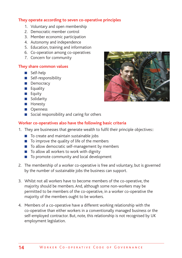#### **They operate according to seven co-operative principles**

- 1. Voluntary and open membership
- 2. Democratic member control
- 3. Member economic participation
- 4. Autonomy and independence
- 5. Education, training and information
- 6. Co-operation among co-operatives
- 7. Concern for community

#### **They share common values**

- **■** Self-help
- **■** Self-responsibility
- **■** Democracy
- **■** Equality
- **■** Equity
- Solidarity
- **■** Honesty
- **■** Openness
- Social responsibility and caring for others

#### **Worker co-operatives also have the following basic criteria**

- 1. They are businesses that generate wealth to fulfil their principle objectives::
	- To create and maintain sustainable jobs
	- To improve the quality of life of the members
	- To allow democratic self-management by members
	- To allow all workers to work with dignity
	- To promote community and local development
- 2. The membership of a worker co-operative is free and voluntary, but is governed by the number of sustainable jobs the business can support.
- 3. Whilst not all workers have to become members of the co-operative, the majority should be members. And, although some non-workers may be permitted to be members of the co-operative, in a worker co-operative the majority of the members ought to be workers.
- 4. Members of a co-operative have a different working relationship with the co-operative than either workers in a conventionally managed business or the self-employed contractor. But, note, this relationship is not recognised by UK employment legislation.

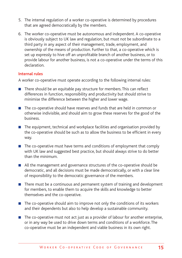- 5. The internal regulation of a worker co-operative is determined by procedures that are agreed democratically by the members.
- 6. The worker co-operative must be autonomous and independent. A co-operative is obviously subject to UK law and regulation, but must not be subordinate to a third party in any aspect of their management, trade, employment, and ownership of the means of production. Further to that, a co-operative which is set up expressly to hive off an unprofitable branch of another business, or to provide labour for another business, is not a co-operative under the terms of this declaration.

#### **Internal rules**

A worker co-operative must operate according to the following internal rules:

- There should be an equitable pay structure for members. This can reflect differences in function, responsibility and productivity but should strive to minimise the difference between the higher and lower wage.
- The co-operative should have reserves and funds that are held in common or otherwise indivisible, and should aim to grow these reserves for the good of the business.
- The equipment, technical and workplace facilities and organisation provided by the co-operative should be such as to allow the business to be efficient in every way.
- **■** The co-operative must have terms and conditions of employment that comply with UK law and suggested best practice, but should always strive to do better than the minimum.
- All the management and governance structures of the co-operative should be democratic, and all decisions must be made democratically, or with a clear line of responsibility to the democratic governance of the members.
- There must be a continuous and permanent system of training and development for members, to enable them to acquire the skills and knowledge to better themselves and the co-operative.
- The co-operative should aim to improve not only the conditions of its workers and their dependents but also to help develop a sustainable community.
- The co-operative must not act just as a provider of labour for another enterprise, or in any way be used to drive down terms and conditions of a workforce. The co-operative must be an independent and viable business in its own right.